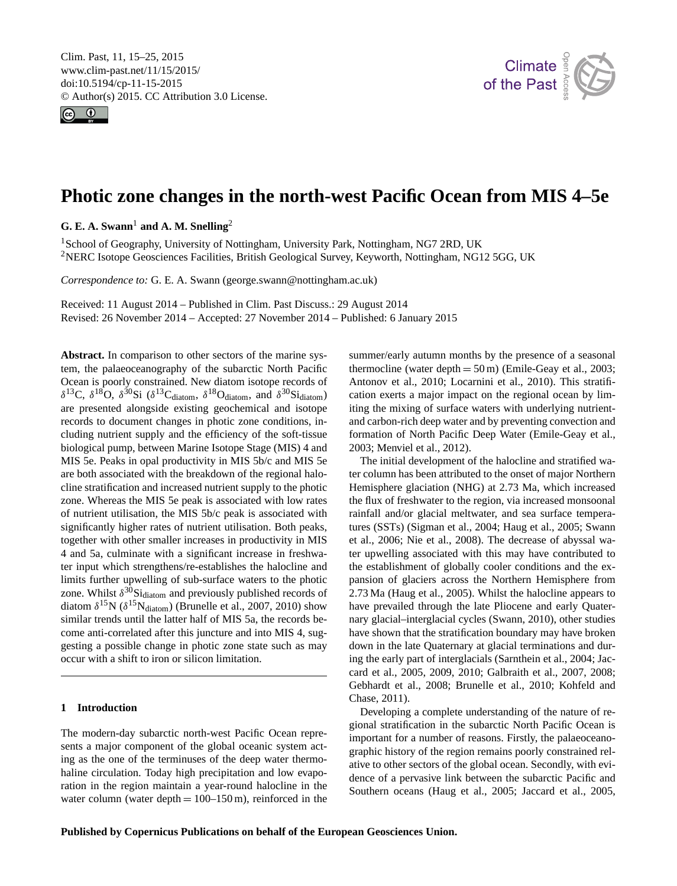<span id="page-0-1"></span>Clim. Past, 11, 15–25, 2015 www.clim-past.net/11/15/2015/ doi:10.5194/cp-11-15-2015 © Author(s) 2015. CC Attribution 3.0 License.





# **Photic zone changes in the north-west Pacific Ocean from MIS 4–5e**

 $G. E. A. Swann<sup>1</sup>$  $G. E. A. Swann<sup>1</sup>$  $G. E. A. Swann<sup>1</sup>$  and A. M. Snelling<sup>[2](#page-0-0)</sup>

<sup>1</sup>School of Geography, University of Nottingham, University Park, Nottingham, NG7 2RD, UK <sup>2</sup>NERC Isotope Geosciences Facilities, British Geological Survey, Keyworth, Nottingham, NG12 5GG, UK

*Correspondence to:* G. E. A. Swann (george.swann@nottingham.ac.uk)

Received: 11 August 2014 – Published in Clim. Past Discuss.: 29 August 2014 Revised: 26 November 2014 – Accepted: 27 November 2014 – Published: 6 January 2015

<span id="page-0-0"></span>**Abstract.** In comparison to other sectors of the marine system, the palaeoceanography of the subarctic North Pacific Ocean is poorly constrained. New diatom isotope records of  $\delta^{13}$ C,  $\delta^{18}$ O,  $\delta^{30}$ Si ( $\delta^{13}$ C<sub>diatom</sub>,  $\delta^{18}$ O<sub>diatom</sub>, and  $\delta^{30}$ Si<sub>diatom</sub>) are presented alongside existing geochemical and isotope records to document changes in photic zone conditions, including nutrient supply and the efficiency of the soft-tissue biological pump, between Marine Isotope Stage (MIS) 4 and MIS 5e. Peaks in opal productivity in MIS 5b/c and MIS 5e are both associated with the breakdown of the regional halocline stratification and increased nutrient supply to the photic zone. Whereas the MIS 5e peak is associated with low rates of nutrient utilisation, the MIS 5b/c peak is associated with significantly higher rates of nutrient utilisation. Both peaks, together with other smaller increases in productivity in MIS 4 and 5a, culminate with a significant increase in freshwater input which strengthens/re-establishes the halocline and limits further upwelling of sub-surface waters to the photic zone. Whilst  $\delta^{30}$ Si<sub>diatom</sub> and previously published records of diatom  $\delta^{15}N$  ( $\delta^{15}N_{\text{diatom}}$ ) [\(Brunelle et al.,](#page-7-0) [2007,](#page-7-0) [2010\)](#page-7-1) show similar trends until the latter half of MIS 5a, the records become anti-correlated after this juncture and into MIS 4, suggesting a possible change in photic zone state such as may occur with a shift to iron or silicon limitation.

## **1 Introduction**

The modern-day subarctic north-west Pacific Ocean represents a major component of the global oceanic system acting as the one of the terminuses of the deep water thermohaline circulation. Today high precipitation and low evaporation in the region maintain a year-round halocline in the water column (water depth  $= 100-150$  m), reinforced in the

summer/early autumn months by the presence of a seasonal thermocline (water depth  $= 50 \,\mathrm{m}$ ) [\(Emile-Geay et al.,](#page-8-0) [2003;](#page-8-0) [Antonov et al.,](#page-7-2) [2010;](#page-7-2) [Locarnini et al.,](#page-9-0) [2010\)](#page-9-0). This stratification exerts a major impact on the regional ocean by limiting the mixing of surface waters with underlying nutrientand carbon-rich deep water and by preventing convection and formation of North Pacific Deep Water [\(Emile-Geay et al.,](#page-8-0) [2003;](#page-8-0) [Menviel et al.,](#page-9-1) [2012\)](#page-9-1).

The initial development of the halocline and stratified water column has been attributed to the onset of major Northern Hemisphere glaciation (NHG) at 2.73 Ma, which increased the flux of freshwater to the region, via increased monsoonal rainfall and/or glacial meltwater, and sea surface temperatures (SSTs) [\(Sigman et al.,](#page-10-0) [2004;](#page-10-0) [Haug et al.,](#page-8-1) [2005;](#page-8-1) [Swann](#page-10-1) [et al.,](#page-10-1) [2006;](#page-10-1) [Nie et al.,](#page-9-2) [2008\)](#page-9-2). The decrease of abyssal water upwelling associated with this may have contributed to the establishment of globally cooler conditions and the expansion of glaciers across the Northern Hemisphere from 2.73 Ma [\(Haug et al.,](#page-8-1) [2005\)](#page-8-1). Whilst the halocline appears to have prevailed through the late Pliocene and early Quaternary glacial–interglacial cycles [\(Swann,](#page-10-2) [2010\)](#page-10-2), other studies have shown that the stratification boundary may have broken down in the late Quaternary at glacial terminations and during the early part of interglacials [\(Sarnthein et al.,](#page-10-3) [2004;](#page-10-3) [Jac](#page-8-2)[card et al.,](#page-8-2) [2005,](#page-8-2) [2009,](#page-8-3) [2010;](#page-8-4) [Galbraith et al.,](#page-8-5) [2007,](#page-8-5) [2008;](#page-8-6) [Gebhardt et al.,](#page-8-7) [2008;](#page-8-7) [Brunelle et al.,](#page-7-1) [2010;](#page-7-1) [Kohfeld and](#page-9-3) [Chase,](#page-9-3) [2011\)](#page-9-3).

Developing a complete understanding of the nature of regional stratification in the subarctic North Pacific Ocean is important for a number of reasons. Firstly, the palaeoceanographic history of the region remains poorly constrained relative to other sectors of the global ocean. Secondly, with evidence of a pervasive link between the subarctic Pacific and Southern oceans [\(Haug et al.,](#page-8-1) [2005;](#page-8-1) [Jaccard et al.,](#page-8-2) [2005,](#page-8-2)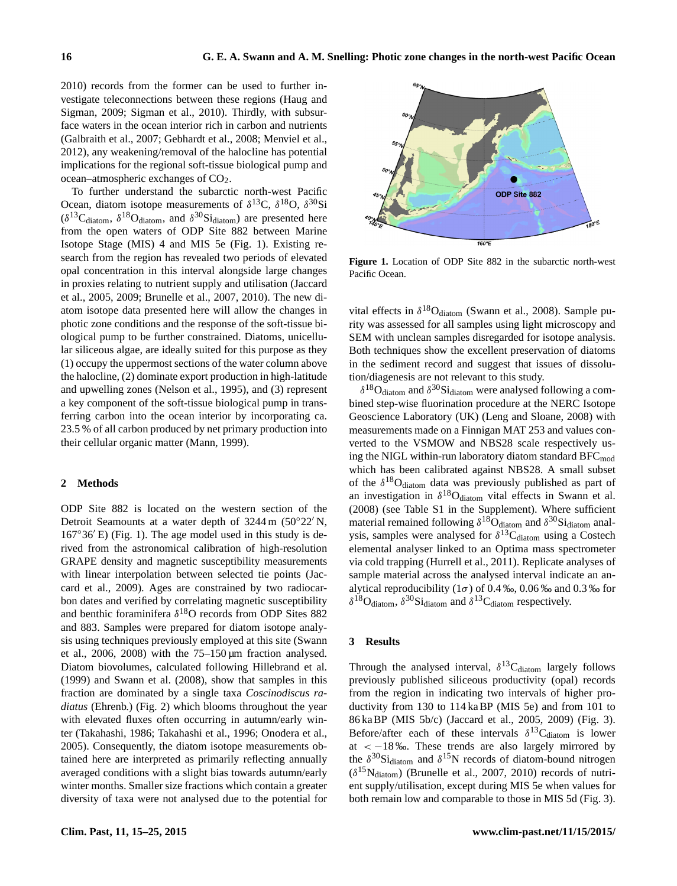[2010\)](#page-8-4) records from the former can be used to further investigate teleconnections between these regions [\(Haug and](#page-8-8) [Sigman,](#page-8-8) [2009;](#page-8-8) [Sigman et al.,](#page-10-4) [2010\)](#page-10-4). Thirdly, with subsurface waters in the ocean interior rich in carbon and nutrients [\(Galbraith et al.,](#page-8-5) [2007;](#page-8-5) [Gebhardt et al.,](#page-8-7) [2008;](#page-8-7) [Menviel et al.,](#page-9-1) [2012\)](#page-9-1), any weakening/removal of the halocline has potential implications for the regional soft-tissue biological pump and  $ocean-atmospheric exchanges of  $CO<sub>2</sub>$ .$ 

To further understand the subarctic north-west Pacific Ocean, diatom isotope measurements of  $\delta^{13}C$ ,  $\delta^{18}O$ ,  $\delta^{30}Si$  $(\delta^{13}C_{diatom}, \delta^{18}O_{diatom}, \text{ and } \delta^{30}Si_{diatom})$  are presented here from the open waters of ODP Site 882 between Marine Isotope Stage (MIS) 4 and MIS 5e (Fig. [1\)](#page-1-0). Existing research from the region has revealed two periods of elevated opal concentration in this interval alongside large changes in proxies relating to nutrient supply and utilisation [\(Jaccard](#page-8-2) [et al.,](#page-8-2) [2005,](#page-8-2) [2009;](#page-8-3) [Brunelle et al.,](#page-7-0) [2007,](#page-7-0) [2010\)](#page-7-1). The new diatom isotope data presented here will allow the changes in photic zone conditions and the response of the soft-tissue biological pump to be further constrained. Diatoms, unicellular siliceous algae, are ideally suited for this purpose as they (1) occupy the uppermost sections of the water column above the halocline, (2) dominate export production in high-latitude and upwelling zones [\(Nelson et al.,](#page-9-4) [1995\)](#page-9-4), and (3) represent a key component of the soft-tissue biological pump in transferring carbon into the ocean interior by incorporating ca. 23.5 % of all carbon produced by net primary production into their cellular organic matter [\(Mann,](#page-9-5) [1999\)](#page-9-5).

#### **2 Methods**

ODP Site 882 is located on the western section of the Detroit Seamounts at a water depth of  $3244 \text{ m}$  ( $50^{\circ}22' \text{ N}$ ,  $167°36'E$ ) (Fig. [1\)](#page-1-0). The age model used in this study is derived from the astronomical calibration of high-resolution GRAPE density and magnetic susceptibility measurements with linear interpolation between selected tie points [\(Jac](#page-8-3)[card et al.,](#page-8-3) [2009\)](#page-8-3). Ages are constrained by two radiocarbon dates and verified by correlating magnetic susceptibility and benthic foraminifera  $\delta^{18}$ O records from ODP Sites 882 and 883. Samples were prepared for diatom isotope analysis using techniques previously employed at this site [\(Swann](#page-10-1) [et al.,](#page-10-1) [2006,](#page-10-1) [2008\)](#page-10-5) with the  $75-150 \,\mu m$  fraction analysed. Diatom biovolumes, calculated following [Hillebrand et al.](#page-8-9) [\(1999\)](#page-8-9) and [Swann et al.](#page-10-5) [\(2008\)](#page-10-5), show that samples in this fraction are dominated by a single taxa *Coscinodiscus radiatus* (Ehrenb.) (Fig. [2\)](#page-2-0) which blooms throughout the year with elevated fluxes often occurring in autumn/early winter [\(Takahashi,](#page-10-6) [1986;](#page-10-6) [Takahashi et al.,](#page-10-7) [1996;](#page-10-7) [Onodera et al.,](#page-9-6) [2005\)](#page-9-6). Consequently, the diatom isotope measurements obtained here are interpreted as primarily reflecting annually averaged conditions with a slight bias towards autumn/early winter months. Smaller size fractions which contain a greater diversity of taxa were not analysed due to the potential for

<span id="page-1-0"></span>

**Figure 1.** Location of ODP Site 882 in the subarctic north-west Pacific Ocean.

vital effects in  $\delta^{18}O_{diatom}$  [\(Swann et al.,](#page-10-5) [2008\)](#page-10-5). Sample purity was assessed for all samples using light microscopy and SEM with unclean samples disregarded for isotope analysis. Both techniques show the excellent preservation of diatoms in the sediment record and suggest that issues of dissolution/diagenesis are not relevant to this study.

 $\delta^{18}O_{\text{diatom}}$  and  $\delta^{30}S_{\text{i} \text{diatom}}$  were analysed following a combined step-wise fluorination procedure at the NERC Isotope Geoscience Laboratory (UK) [\(Leng and Sloane,](#page-9-7) [2008\)](#page-9-7) with measurements made on a Finnigan MAT 253 and values converted to the VSMOW and NBS28 scale respectively using the NIGL within-run laboratory diatom standard BFC<sub>mod</sub> which has been calibrated against NBS28. A small subset of the  $\delta^{18}O_{diatom}$  data was previously published as part of an investigation in  $\delta^{18}O_{diatom}$  vital effects in [Swann et al.](#page-10-5) [\(2008\)](#page-10-5) (see Table S1 in the Supplement). Where sufficient material remained following  $\delta^{18}O_{diatom}$  and  $\delta^{30}Si_{diatom}$  analysis, samples were analysed for  $\delta^{13}C_{diatom}$  using a Costech elemental analyser linked to an Optima mass spectrometer via cold trapping [\(Hurrell et al.,](#page-8-10) [2011\)](#page-8-10). Replicate analyses of sample material across the analysed interval indicate an analytical reproducibility ( $1\sigma$ ) of 0.4 ‰, 0.06 ‰ and 0.3 ‰ for  $\delta^{18}$ O<sub>diatom</sub>,  $\delta^{30}$ Si<sub>diatom</sub> and  $\delta^{13}$ C<sub>diatom</sub> respectively.

#### **3 Results**

Through the analysed interval,  $\delta^{13}C_{diatom}$  largely follows previously published siliceous productivity (opal) records from the region in indicating two intervals of higher productivity from 130 to 114 ka BP (MIS 5e) and from 101 to 86 ka BP (MIS 5b/c) [\(Jaccard et al.,](#page-8-2) [2005,](#page-8-2) [2009\)](#page-8-3) (Fig. [3\)](#page-3-0). Before/after each of these intervals  $\delta^{13}$ C<sub>diatom</sub> is lower at  $<-18\%$ . These trends are also largely mirrored by the  $\delta^{30}$ Si<sub>diatom</sub> and  $\delta^{15}$ N records of diatom-bound nitrogen  $(\delta^{15} \text{N}_{\text{diatom}})$  [\(Brunelle et al.,](#page-7-0) [2007,](#page-7-0) [2010\)](#page-7-1) records of nutrient supply/utilisation, except during MIS 5e when values for both remain low and comparable to those in MIS 5d (Fig. [3\)](#page-3-0).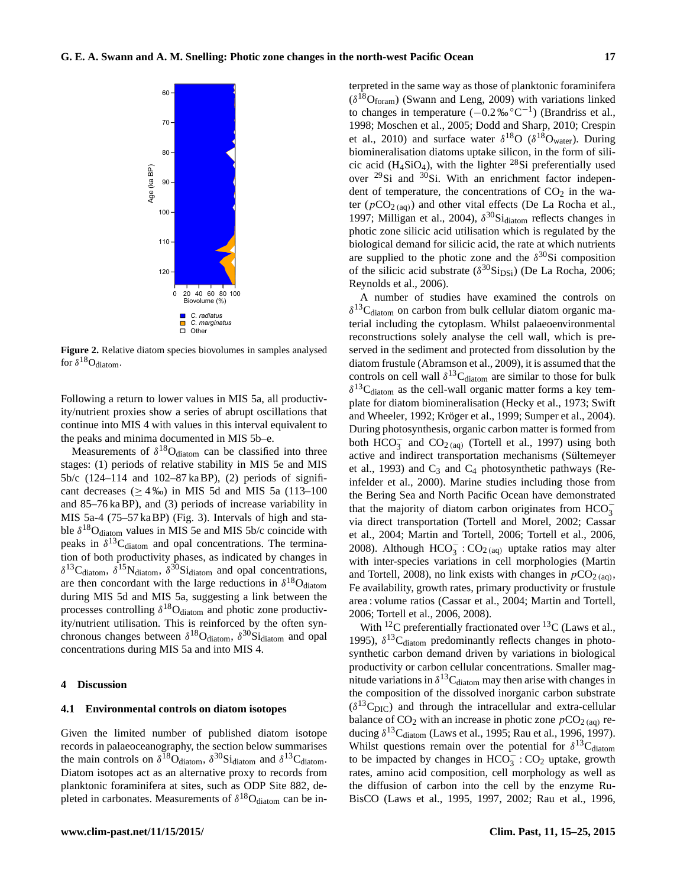<span id="page-2-0"></span>

**Figure 2.** Relative diatom species biovolumes in samples analysed for  $\delta^{18}O_{diatom}$ .

Following a return to lower values in MIS 5a, all productivity/nutrient proxies show a series of abrupt oscillations that continue into MIS 4 with values in this interval equivalent to the peaks and minima documented in MIS 5b–e.

Measurements of  $\delta^{18}O_{diatom}$  can be classified into three stages: (1) periods of relative stability in MIS 5e and MIS 5b/c (124–114 and 102–87 ka BP), (2) periods of significant decreases ( $\geq 4\%$ ) in MIS 5d and MIS 5a (113–100 and 85–76 ka BP), and (3) periods of increase variability in MIS 5a-4 (75–57 ka BP) (Fig. [3\)](#page-3-0). Intervals of high and stable  $\delta^{18}$ O<sub>diatom</sub> values in MIS 5e and MIS 5b/c coincide with peaks in  $\delta^{13}C_{diatom}$  and opal concentrations. The termination of both productivity phases, as indicated by changes in  $\delta^{13}$ C<sub>diatom</sub>,  $\delta^{15}$ N<sub>diatom</sub>,  $\delta^{30}$ Si<sub>diatom</sub> and opal concentrations, are then concordant with the large reductions in  $\delta^{18}O_{diatom}$ during MIS 5d and MIS 5a, suggesting a link between the processes controlling  $\delta^{18}O_{\text{diatom}}$  and photic zone productivity/nutrient utilisation. This is reinforced by the often synchronous changes between  $\delta^{18}O_{diatom}$ ,  $\delta^{30}Si_{diatom}$  and opal concentrations during MIS 5a and into MIS 4.

#### **4 Discussion**

#### **4.1 Environmental controls on diatom isotopes**

Given the limited number of published diatom isotope records in palaeoceanography, the section below summarises the main controls on  $\delta^{18}O_{diatom}$ ,  $\delta^{30}Si_{diatom}$  and  $\delta^{13}C_{diatom}$ . Diatom isotopes act as an alternative proxy to records from planktonic foraminifera at sites, such as ODP Site 882, depleted in carbonates. Measurements of  $\delta^{18}O_{\text{diatom}}$  can be interpreted in the same way as those of planktonic foraminifera  $(\delta^{18}O_{\text{foram}})$  [\(Swann and Leng,](#page-10-8) [2009\)](#page-10-8) with variations linked to changes in temperature  $(-0.2\% \,^{\circ}C^{-1})$  [\(Brandriss et al.,](#page-7-3) [1998;](#page-7-3) [Moschen et al.,](#page-9-8) [2005;](#page-9-8) [Dodd and Sharp,](#page-8-11) [2010;](#page-8-11) [Crespin](#page-8-12) [et al.,](#page-8-12) [2010\)](#page-8-12) and surface water  $\delta^{18}O$  ( $\delta^{18}O_{\text{water}}$ ). During biomineralisation diatoms uptake silicon, in the form of silicic acid (H<sub>4</sub>SiO<sub>4</sub>), with the lighter <sup>28</sup>Si preferentially used over  $^{29}$ Si and  $^{30}$ Si. With an enrichment factor independent of temperature, the concentrations of  $CO<sub>2</sub>$  in the water ( $pCO<sub>2 (aa)</sub>$ ) and other vital effects [\(De La Rocha et al.,](#page-8-13) [1997;](#page-8-13) [Milligan et al.,](#page-9-9) [2004\)](#page-9-9),  $\delta^{30}$ Si<sub>diatom</sub> reflects changes in photic zone silicic acid utilisation which is regulated by the biological demand for silicic acid, the rate at which nutrients are supplied to the photic zone and the  $\delta^{30}$ Si composition of the silicic acid substrate  $(\delta^{30} \text{Si}_{DSi})$  [\(De La Rocha,](#page-8-14) [2006;](#page-8-14) [Reynolds et al.,](#page-10-9) [2006\)](#page-10-9).

A number of studies have examined the controls on  $\delta^{13}$ C<sub>diatom</sub> on carbon from bulk cellular diatom organic material including the cytoplasm. Whilst palaeoenvironmental reconstructions solely analyse the cell wall, which is preserved in the sediment and protected from dissolution by the diatom frustule [\(Abramson et al.,](#page-7-4) [2009\)](#page-7-4), it is assumed that the controls on cell wall  $\delta^{13}C_{diatom}$  are similar to those for bulk  $\delta^{13}$ C<sub>diatom</sub> as the cell-wall organic matter forms a key template for diatom biomineralisation [\(Hecky et al.,](#page-8-15) [1973;](#page-8-15) [Swift](#page-10-10) [and Wheeler,](#page-10-10) [1992;](#page-10-10) [Kröger et al.,](#page-9-10) [1999;](#page-9-10) [Sumper et al.,](#page-10-11) [2004\)](#page-10-11). During photosynthesis, organic carbon matter is formed from both  $HCO_3^-$  and  $CO_2$ <sub>(aq)</sub> [\(Tortell et al.,](#page-10-12) [1997\)](#page-10-12) using both active and indirect transportation mechanisms [\(Sültemeyer](#page-10-13) [et al.,](#page-10-13) [1993\)](#page-10-13) and  $C_3$  and  $C_4$  photosynthetic pathways [\(Re](#page-10-14)[infelder et al.,](#page-10-14) [2000\)](#page-10-14). Marine studies including those from the Bering Sea and North Pacific Ocean have demonstrated that the majority of diatom carbon originates from  $HCO_3^$ via direct transportation [\(Tortell and Morel,](#page-10-15) [2002;](#page-10-15) [Cassar](#page-8-16) [et al.,](#page-8-16) [2004;](#page-8-16) [Martin and Tortell,](#page-9-11) [2006;](#page-9-11) [Tortell et al.,](#page-10-16) [2006,](#page-10-16) [2008\)](#page-10-17). Although  $HCO_3^-$ :  $CO_{2(aq)}$  uptake ratios may alter with inter-species variations in cell morphologies [\(Martin](#page-9-12) [and Tortell,](#page-9-12) [2008\)](#page-9-12), no link exists with changes in  $pCO<sub>2</sub>(aq)$ , Fe availability, growth rates, primary productivity or frustule area : volume ratios [\(Cassar et al.,](#page-8-16) [2004;](#page-8-16) [Martin and Tortell,](#page-9-11) [2006;](#page-9-11) [Tortell et al.,](#page-10-16) [2006,](#page-10-16) [2008\)](#page-10-17).

With <sup>12</sup>C preferentially fractionated over <sup>13</sup>C [\(Laws et al.,](#page-9-13) [1995\)](#page-9-13),  $\delta^{13}$ C<sub>diatom</sub> predominantly reflects changes in photosynthetic carbon demand driven by variations in biological productivity or carbon cellular concentrations. Smaller magnitude variations in  $\delta^{13}$ C<sub>diatom</sub> may then arise with changes in the composition of the dissolved inorganic carbon substrate  $(\delta^{13}C_{\text{DIC}})$  and through the intracellular and extra-cellular balance of  $CO_2$  with an increase in photic zone  $pCO_{2}$  (aq) reducing  $\delta^{13}C_{diatom}$  [\(Laws et al.,](#page-9-13) [1995;](#page-9-13) [Rau et al.,](#page-9-14) [1996,](#page-9-14) [1997\)](#page-10-18). Whilst questions remain over the potential for  $\delta^{13}C_{diatom}$ to be impacted by changes in  $HCO_3^-$ :  $CO_2$  uptake, growth rates, amino acid composition, cell morphology as well as the diffusion of carbon into the cell by the enzyme Ru-BisCO [\(Laws et al.,](#page-9-13) [1995,](#page-9-13) [1997,](#page-9-15) [2002;](#page-9-16) [Rau et al.,](#page-9-14) [1996,](#page-9-14)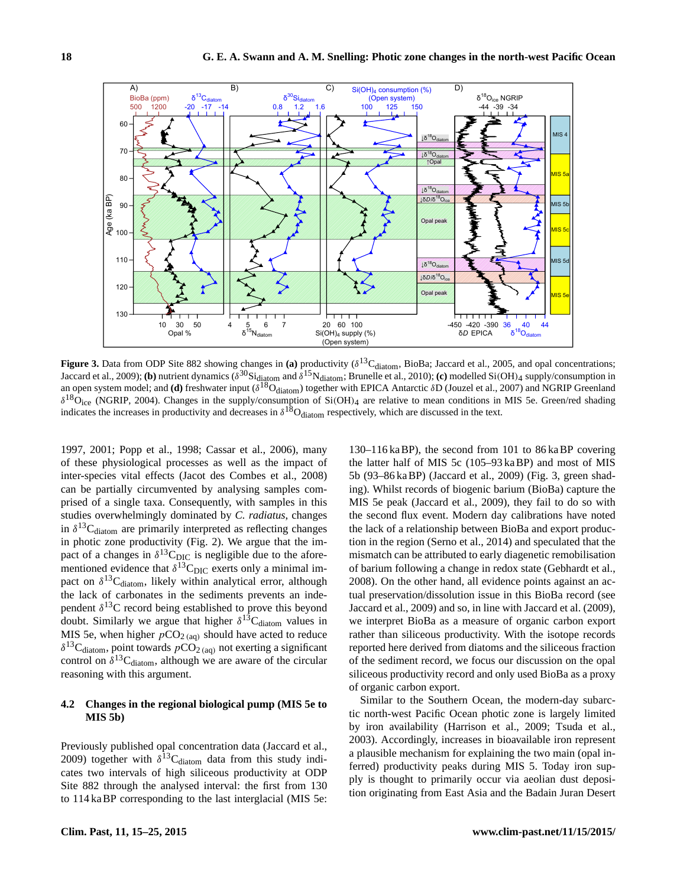<span id="page-3-0"></span>

**Figure 3.** Data from ODP Site 882 showing changes in (a) productivity ( $\delta^{13}C_{diatom}$ , BioBa; [Jaccard et al.,](#page-8-2) [2005,](#page-8-2) and opal concentrations; [Jaccard et al.,](#page-8-3) [2009\)](#page-8-3); (**b**) nutrient dynamics ( $\delta^{30}$ Si<sub>diatom</sub> and  $\delta^{15}$ N<sub>diatom</sub>; [Brunelle et al.,](#page-7-1) [2010\)](#page-7-1); (**c**) modelled Si(OH)<sub>4</sub> supply/consumption in an open system model; and **(d)** freshwater input ( $\delta^{18}O_{diatom}$ ) together with EPICA Antarctic  $\delta D$  [\(Jouzel et al.,](#page-8-17) [2007\)](#page-8-17) and NGRIP Greenland  $\delta^{18}O_{\text{ice}}$  [\(NGRIP,](#page-9-17) [2004\)](#page-9-17). Changes in the supply/consumption of Si(OH)<sub>4</sub> are relative to mean conditions in MIS 5e. Green/red shading indicates the increases in productivity and decreases in  $\delta^{18}O_{diatom}$  respectively, which are discussed in the text.

[1997,](#page-10-18) [2001;](#page-10-19) [Popp et al.,](#page-9-18) [1998;](#page-9-18) [Cassar et al.,](#page-8-18) [2006\)](#page-8-18), many of these physiological processes as well as the impact of inter-species vital effects [\(Jacot des Combes et al.,](#page-8-19) [2008\)](#page-8-19) can be partially circumvented by analysing samples comprised of a single taxa. Consequently, with samples in this studies overwhelmingly dominated by *C. radiatus*, changes in  $\delta^{13}$ C<sub>diatom</sub> are primarily interpreted as reflecting changes in photic zone productivity (Fig. [2\)](#page-2-0). We argue that the impact of a changes in  $\delta^{13}C_{\text{DIC}}$  is negligible due to the aforementioned evidence that  $\delta^{13}C_{\text{DIC}}$  exerts only a minimal impact on  $\delta^{13}C_{diatom}$ , likely within analytical error, although the lack of carbonates in the sediments prevents an independent  $\delta^{13}$ C record being established to prove this beyond doubt. Similarly we argue that higher  $\delta^{13}C_{diatom}$  values in MIS 5e, when higher  $pCO<sub>2 (aq)</sub>$  should have acted to reduce  $\delta^{13}$ C<sub>diatom</sub>, point towards  $pCO<sub>2 (aq)</sub>$  not exerting a significant control on  $\delta^{13}C_{diatom}$ , although we are aware of the circular reasoning with this argument.

## **4.2 Changes in the regional biological pump (MIS 5e to MIS 5b)**

Previously published opal concentration data [\(Jaccard et al.,](#page-8-3) [2009\)](#page-8-3) together with  $\delta^{13}$ C<sub>diatom</sub> data from this study indicates two intervals of high siliceous productivity at ODP Site 882 through the analysed interval: the first from 130 to 114 ka BP corresponding to the last interglacial (MIS 5e:

130–116 ka BP), the second from 101 to 86 ka BP covering the latter half of MIS 5c (105–93 ka BP) and most of MIS 5b (93–86 ka BP) [\(Jaccard et al.,](#page-8-3) [2009\)](#page-8-3) (Fig. [3,](#page-3-0) green shading). Whilst records of biogenic barium (BioBa) capture the MIS 5e peak [\(Jaccard et al.,](#page-8-3) [2009\)](#page-8-3), they fail to do so with the second flux event. Modern day calibrations have noted the lack of a relationship between BioBa and export production in the region [\(Serno et al.,](#page-10-20) [2014\)](#page-10-20) and speculated that the mismatch can be attributed to early diagenetic remobilisation of barium following a change in redox state [\(Gebhardt et al.,](#page-8-7) [2008\)](#page-8-7). On the other hand, all evidence points against an actual preservation/dissolution issue in this BioBa record (see [Jaccard et al.,](#page-8-3) [2009\)](#page-8-3) and so, in line with [Jaccard et al.](#page-8-3) [\(2009\)](#page-8-3), we interpret BioBa as a measure of organic carbon export rather than siliceous productivity. With the isotope records reported here derived from diatoms and the siliceous fraction of the sediment record, we focus our discussion on the opal siliceous productivity record and only used BioBa as a proxy of organic carbon export.

Similar to the Southern Ocean, the modern-day subarctic north-west Pacific Ocean photic zone is largely limited by iron availability [\(Harrison et al.,](#page-8-20) [2009;](#page-8-20) [Tsuda et al.,](#page-10-21) [2003\)](#page-10-21). Accordingly, increases in bioavailable iron represent a plausible mechanism for explaining the two main (opal inferred) productivity peaks during MIS 5. Today iron supply is thought to primarily occur via aeolian dust deposition originating from East Asia and the Badain Juran Desert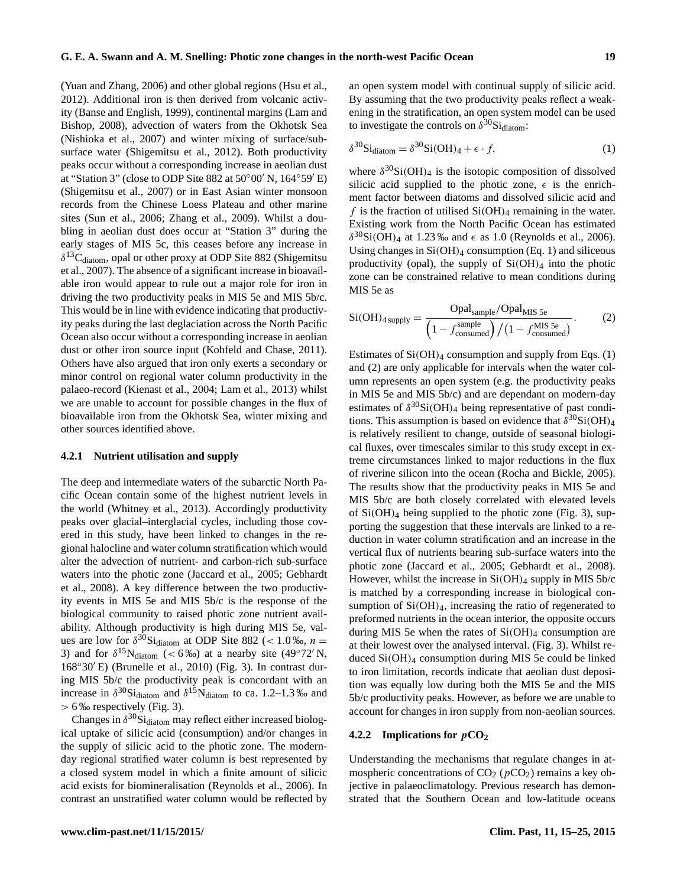<span id="page-4-0"></span>

[\(Yuan and Zhang,](#page-10-22) [2006\)](#page-10-22) and other global regions [\(Hsu et al.,](#page-8-21) [2012\)](#page-8-21). Additional iron is then derived from volcanic activity [\(Banse and English,](#page-7-5) [1999\)](#page-7-5), continental margins [\(Lam and](#page-9-19) [Bishop,](#page-9-19) [2008\)](#page-9-19), advection of waters from the Okhotsk Sea [\(Nishioka et al.,](#page-9-20) [2007\)](#page-9-20) and winter mixing of surface/subsurface water [\(Shigemitsu et al.,](#page-10-23) [2012\)](#page-10-23). Both productivity peaks occur without a corresponding increase in aeolian dust at "Station 3" (close to ODP Site 882 at  $50^{\circ}00'$  N,  $164^{\circ}59'$  E) [\(Shigemitsu et al.,](#page-10-24) [2007\)](#page-10-24) or in East Asian winter monsoon records from the Chinese Loess Plateau and other marine sites [\(Sun et al.,](#page-10-25) [2006;](#page-10-25) [Zhang et al.,](#page-10-26) [2009\)](#page-10-26). Whilst a doubling in aeolian dust does occur at "Station 3" during the early stages of MIS 5c, this ceases before any increase in  $\delta^{13}$ C<sub>diatom</sub>, opal or other proxy at ODP Site 882 [\(Shigemitsu](#page-10-24) [et al.,](#page-10-24) [2007\)](#page-10-24). The absence of a significant increase in bioavailable iron would appear to rule out a major role for iron in driving the two productivity peaks in MIS 5e and MIS 5b/c. This would be in line with evidence indicating that productivity peaks during the last deglaciation across the North Pacific Ocean also occur without a corresponding increase in aeolian dust or other iron source input [\(Kohfeld and Chase,](#page-9-3) [2011\)](#page-9-3). Others have also argued that iron only exerts a secondary or minor control on regional water column productivity in the palaeo-record [\(Kienast et al.,](#page-8-22) [2004;](#page-8-22) [Lam et al.,](#page-9-21) [2013\)](#page-9-21) whilst we are unable to account for possible changes in the flux of bioavailable iron from the Okhotsk Sea, winter mixing and other sources identified above.

## **4.2.1 Nutrient utilisation and supply**

The deep and intermediate waters of the subarctic North Pacific Ocean contain some of the highest nutrient levels in the world [\(Whitney et al.,](#page-10-27) [2013\)](#page-10-27). Accordingly productivity peaks over glacial–interglacial cycles, including those covered in this study, have been linked to changes in the regional halocline and water column stratification which would alter the advection of nutrient- and carbon-rich sub-surface waters into the photic zone [\(Jaccard et al.,](#page-8-2) [2005;](#page-8-2) [Gebhardt](#page-8-7) [et al.,](#page-8-7) [2008\)](#page-8-7). A key difference between the two productivity events in MIS 5e and MIS 5b/c is the response of the biological community to raised photic zone nutrient availability. Although productivity is high during MIS 5e, values are low for  $\delta^{30}$ Si<sub>diatom</sub> at ODP Site 882 (< 1.0 ‰, *n* = 3) and for  $\delta^{15}$ N<sub>diatom</sub> (< 6‰) at a nearby site (49°72′ N,  $168°30'E$ ) [\(Brunelle et al.,](#page-7-1) [2010\)](#page-7-1) (Fig. 3). In contrast during MIS 5b/c the productivity peak is concordant with an increase in  $\delta^{30}$ Si<sub>diatom</sub> and  $\delta^{15}$ N<sub>diatom</sub> to ca. 1.2–1.3 ‰ and > 6 ‰ respectively (Fig. [3\)](#page-3-0).

Changes in  $\delta^{30}$ Si<sub>diatom</sub> may reflect either increased biological uptake of silicic acid (consumption) and/or changes in the supply of silicic acid to the photic zone. The modernday regional stratified water column is best represented by a closed system model in which a finite amount of silicic acid exists for biomineralisation [\(Reynolds et al.,](#page-10-9) [2006\)](#page-10-9). In contrast an unstratified water column would be reflected by an open system model with continual supply of silicic acid. By assuming that the two productivity peaks reflect a weakening in the stratification, an open system model can be used to investigate the controls on  $\delta^{30}$ Si<sub>diatom</sub>:

$$
\delta^{30} \text{Si}_{\text{diatom}} = \delta^{30} \text{Si(OH)}_4 + \epsilon \cdot f,\tag{1}
$$

where  $\delta^{30}$ Si(OH)<sub>4</sub> is the isotopic composition of dissolved silicic acid supplied to the photic zone,  $\epsilon$  is the enrichment factor between diatoms and dissolved silicic acid and f is the fraction of utilised  $Si(OH)_4$  remaining in the water. Existing work from the North Pacific Ocean has estimated  $\delta^{30}$ Si(OH)<sub>4</sub> at 1.23 ‰ and  $\epsilon$  as 1.0 [\(Reynolds et al.,](#page-10-9) [2006\)](#page-10-9). Using changes in  $Si(OH)_4$  consumption (Eq. [1\)](#page-4-0) and siliceous productivity (opal), the supply of  $Si(OH)_4$  into the photic zone can be constrained relative to mean conditions during MIS 5e as

<span id="page-4-1"></span>
$$
Si(OH)_{4\,\text{supply}} = \frac{Opal_{\text{sample}}/Opal_{\text{MIS 5e}}}{\left(1 - f_{\text{consumed}}^{\text{sample}}\right) / \left(1 - f_{\text{consumed}}^{\text{MIS 5e}}\right)}.
$$
 (2)

Estimates of  $Si(OH)_4$  consumption and supply from Eqs. [\(1\)](#page-4-0) and [\(2\)](#page-4-1) are only applicable for intervals when the water column represents an open system (e.g. the productivity peaks in MIS 5e and MIS 5b/c) and are dependant on modern-day estimates of  $\delta^{30}$ Si(OH)<sub>4</sub> being representative of past conditions. This assumption is based on evidence that  $\delta^{30}Si(OH)_4$ is relatively resilient to change, outside of seasonal biological fluxes, over timescales similar to this study except in extreme circumstances linked to major reductions in the flux of riverine silicon into the ocean [\(Rocha and Bickle,](#page-8-23) [2005\)](#page-8-23). The results show that the productivity peaks in MIS 5e and MIS 5b/c are both closely correlated with elevated levels of  $Si(OH)_4$  being supplied to the photic zone (Fig. [3\)](#page-3-0), supporting the suggestion that these intervals are linked to a reduction in water column stratification and an increase in the vertical flux of nutrients bearing sub-surface waters into the photic zone [\(Jaccard et al.,](#page-8-2) [2005;](#page-8-2) [Gebhardt et al.,](#page-8-7) [2008\)](#page-8-7). However, whilst the increase in  $Si(OH)_4$  supply in MIS 5b/c is matched by a corresponding increase in biological consumption of  $Si(OH)<sub>4</sub>$ , increasing the ratio of regenerated to preformed nutrients in the ocean interior, the opposite occurs during MIS 5e when the rates of  $Si(OH)_4$  consumption are at their lowest over the analysed interval. (Fig. [3\)](#page-3-0). Whilst reduced  $Si(OH)_4$  consumption during MIS 5e could be linked to iron limitation, records indicate that aeolian dust deposition was equally low during both the MIS 5e and the MIS 5b/c productivity peaks. However, as before we are unable to account for changes in iron supply from non-aeolian sources.

## **4.2.2 Implications for** p**CO<sup>2</sup>**

Understanding the mechanisms that regulate changes in atmospheric concentrations of  $CO<sub>2</sub>$  ( $pCO<sub>2</sub>$ ) remains a key objective in palaeoclimatology. Previous research has demonstrated that the Southern Ocean and low-latitude oceans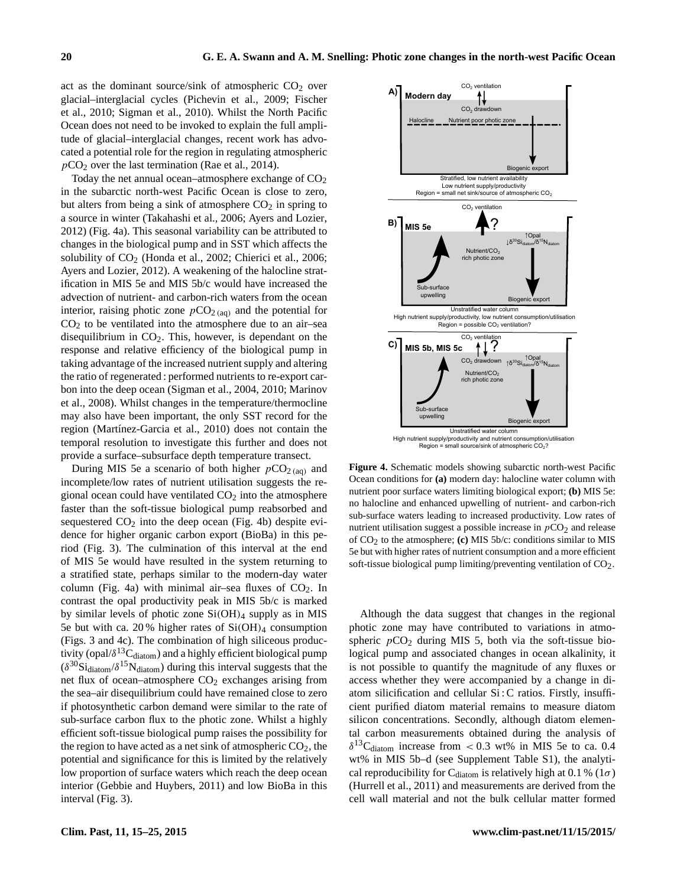act as the dominant source/sink of atmospheric  $CO<sub>2</sub>$  over glacial–interglacial cycles [\(Pichevin et al.,](#page-9-22) [2009;](#page-9-22) [Fischer](#page-8-24) [et al.,](#page-8-24) [2010;](#page-8-24) [Sigman et al.,](#page-10-4) [2010\)](#page-10-4). Whilst the North Pacific Ocean does not need to be invoked to explain the full amplitude of glacial–interglacial changes, recent work has advocated a potential role for the region in regulating atmospheric  $pCO<sub>2</sub>$  over the last termination [\(Rae et al.,](#page-9-23) [2014\)](#page-9-23).

Today the net annual ocean–atmosphere exchange of  $CO<sub>2</sub>$ in the subarctic north-west Pacific Ocean is close to zero, but alters from being a sink of atmosphere  $CO<sub>2</sub>$  in spring to a source in winter [\(Takahashi et al.,](#page-10-28) [2006;](#page-10-28) [Ayers and Lozier,](#page-7-6) [2012\)](#page-7-6) (Fig. [4a](#page-5-0)). This seasonal variability can be attributed to changes in the biological pump and in SST which affects the solubility of CO<sub>2</sub> [\(Honda et al.,](#page-8-25) [2002;](#page-8-25) [Chierici et al.,](#page-8-26) [2006;](#page-8-26) [Ayers and Lozier,](#page-7-6) [2012\)](#page-7-6). A weakening of the halocline stratification in MIS 5e and MIS 5b/c would have increased the advection of nutrient- and carbon-rich waters from the ocean interior, raising photic zone  $pCO_{2 \text{ (aq)}}$  and the potential for  $CO<sub>2</sub>$  to be ventilated into the atmosphere due to an air–sea disequilibrium in  $CO<sub>2</sub>$ . This, however, is dependant on the response and relative efficiency of the biological pump in taking advantage of the increased nutrient supply and altering the ratio of regenerated : performed nutrients to re-export carbon into the deep ocean [\(Sigman et al.,](#page-10-0) [2004,](#page-10-0) [2010;](#page-10-4) [Marinov](#page-9-24) [et al.,](#page-9-24) [2008\)](#page-9-24). Whilst changes in the temperature/thermocline may also have been important, the only SST record for the region [\(Martínez-Garcia et al.,](#page-9-25) [2010\)](#page-9-25) does not contain the temporal resolution to investigate this further and does not provide a surface–subsurface depth temperature transect.

During MIS 5e a scenario of both higher  $pCO<sub>2 (aa)</sub>$  and incomplete/low rates of nutrient utilisation suggests the regional ocean could have ventilated  $CO<sub>2</sub>$  into the atmosphere faster than the soft-tissue biological pump reabsorbed and sequestered  $CO<sub>2</sub>$  into the deep ocean (Fig. [4b](#page-5-0)) despite evidence for higher organic carbon export (BioBa) in this period (Fig. [3\)](#page-3-0). The culmination of this interval at the end of MIS 5e would have resulted in the system returning to a stratified state, perhaps similar to the modern-day water column (Fig. [4a](#page-5-0)) with minimal air–sea fluxes of  $CO<sub>2</sub>$ . In contrast the opal productivity peak in MIS 5b/c is marked by similar levels of photic zone  $Si(OH)_4$  supply as in MIS 5e but with ca. 20% higher rates of  $Si(OH)_4$  consumption (Figs. [3](#page-3-0) and [4c](#page-5-0)). The combination of high siliceous productivity (opal/ $\delta^{13}C_{diatom}$ ) and a highly efficient biological pump  $(\delta^{30} \text{Si}_{\text{diatom}}/\delta^{15} \text{N}_{\text{diatom}})$  during this interval suggests that the net flux of ocean–atmosphere  $CO<sub>2</sub>$  exchanges arising from the sea–air disequilibrium could have remained close to zero if photosynthetic carbon demand were similar to the rate of sub-surface carbon flux to the photic zone. Whilst a highly efficient soft-tissue biological pump raises the possibility for the region to have acted as a net sink of atmospheric  $CO<sub>2</sub>$ , the potential and significance for this is limited by the relatively low proportion of surface waters which reach the deep ocean interior [\(Gebbie and Huybers,](#page-8-27) [2011\)](#page-8-27) and low BioBa in this interval (Fig. [3\)](#page-3-0).

<span id="page-5-0"></span>

**Figure 4.** Schematic models showing subarctic north-west Pacific Ocean conditions for **(a)** modern day: halocline water column with nutrient poor surface waters limiting biological export; **(b)** MIS 5e: no halocline and enhanced upwelling of nutrient- and carbon-rich sub-surface waters leading to increased productivity. Low rates of nutrient utilisation suggest a possible increase in  $pCO<sub>2</sub>$  and release of CO2 to the atmosphere; **(c)** MIS 5b/c: conditions similar to MIS 5e but with higher rates of nutrient consumption and a more efficient soft-tissue biological pump limiting/preventing ventilation of  $CO<sub>2</sub>$ .

Although the data suggest that changes in the regional photic zone may have contributed to variations in atmospheric  $pCO_2$  during MIS 5, both via the soft-tissue biological pump and associated changes in ocean alkalinity, it is not possible to quantify the magnitude of any fluxes or access whether they were accompanied by a change in diatom silicification and cellular Si : C ratios. Firstly, insufficient purified diatom material remains to measure diatom silicon concentrations. Secondly, although diatom elemental carbon measurements obtained during the analysis of  $\delta^{13}$ C<sub>diatom</sub> increase from < 0.3 wt% in MIS 5e to ca. 0.4 wt% in MIS 5b–d (see Supplement Table S1), the analytical reproducibility for C<sub>diatom</sub> is relatively high at 0.1 % (1 $\sigma$ ) [\(Hurrell et al.,](#page-8-10) [2011\)](#page-8-10) and measurements are derived from the cell wall material and not the bulk cellular matter formed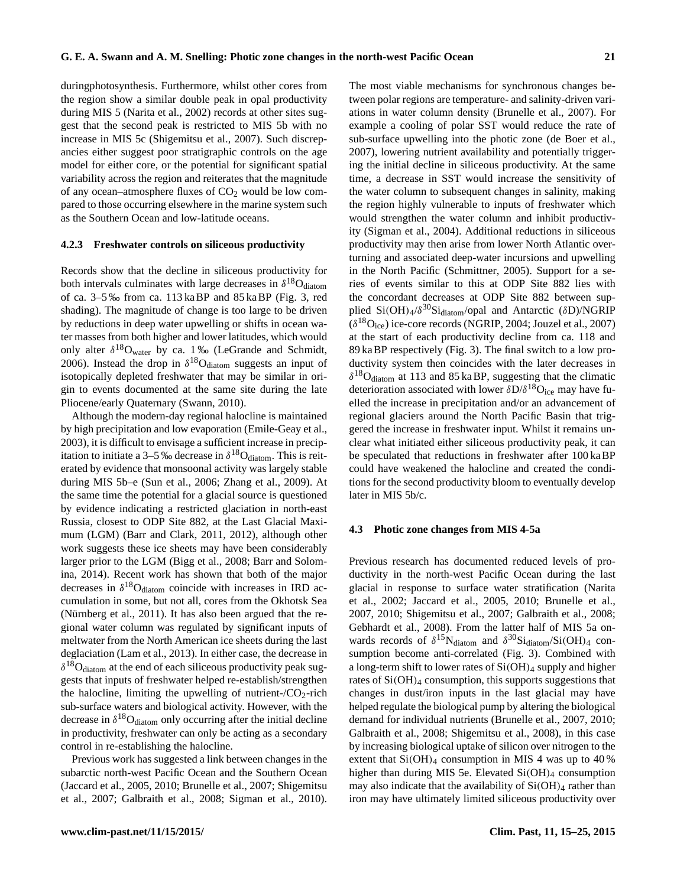duringphotosynthesis. Furthermore, whilst other cores from the region show a similar double peak in opal productivity during MIS 5 [\(Narita et al.,](#page-9-26) [2002\)](#page-9-26) records at other sites suggest that the second peak is restricted to MIS 5b with no increase in MIS 5c [\(Shigemitsu et al.,](#page-10-24) [2007\)](#page-10-24). Such discrepancies either suggest poor stratigraphic controls on the age model for either core, or the potential for significant spatial variability across the region and reiterates that the magnitude of any ocean–atmosphere fluxes of  $CO<sub>2</sub>$  would be low compared to those occurring elsewhere in the marine system such as the Southern Ocean and low-latitude oceans.

#### **4.2.3 Freshwater controls on siliceous productivity**

Records show that the decline in siliceous productivity for both intervals culminates with large decreases in  $\delta^{18}O_{diatom}$ of ca. 3–5 ‰ from ca. 113 ka BP and 85 ka BP (Fig. [3,](#page-3-0) red shading). The magnitude of change is too large to be driven by reductions in deep water upwelling or shifts in ocean water masses from both higher and lower latitudes, which would only alter  $\delta^{18}O_{\text{water}}$  by ca. 1% [\(LeGrande and Schmidt,](#page-9-27) [2006\)](#page-9-27). Instead the drop in  $\delta^{18}O_{\text{diatom}}$  suggests an input of isotopically depleted freshwater that may be similar in origin to events documented at the same site during the late Pliocene/early Quaternary [\(Swann,](#page-10-2) [2010\)](#page-10-2).

Although the modern-day regional halocline is maintained by high precipitation and low evaporation [\(Emile-Geay et al.,](#page-8-0) [2003\)](#page-8-0), it is difficult to envisage a sufficient increase in precipitation to initiate a 3–5 ‰ decrease in  $\delta^{18}O_{diatom}$ . This is reiterated by evidence that monsoonal activity was largely stable during MIS 5b–e [\(Sun et al.,](#page-10-25) [2006;](#page-10-25) [Zhang et al.,](#page-10-26) [2009\)](#page-10-26). At the same time the potential for a glacial source is questioned by evidence indicating a restricted glaciation in north-east Russia, closest to ODP Site 882, at the Last Glacial Maximum (LGM) [\(Barr and Clark,](#page-7-7) [2011,](#page-7-7) [2012\)](#page-7-8), although other work suggests these ice sheets may have been considerably larger prior to the LGM [\(Bigg et al.,](#page-7-9) [2008;](#page-7-9) [Barr and Solom](#page-7-10)[ina,](#page-7-10) [2014\)](#page-7-10). Recent work has shown that both of the major decreases in  $\delta^{18}O_{diatom}$  coincide with increases in IRD accumulation in some, but not all, cores from the Okhotsk Sea [\(Nürnberg et al.,](#page-9-28) [2011\)](#page-9-28). It has also been argued that the regional water column was regulated by significant inputs of meltwater from the North American ice sheets during the last deglaciation [\(Lam et al.,](#page-9-21) [2013\)](#page-9-21). In either case, the decrease in  $\delta^{18}O_{diatom}$  at the end of each siliceous productivity peak suggests that inputs of freshwater helped re-establish/strengthen the halocline, limiting the upwelling of nutrient- $/CO_2$ -rich sub-surface waters and biological activity. However, with the decrease in  $\delta^{18}O_{diatom}$  only occurring after the initial decline in productivity, freshwater can only be acting as a secondary control in re-establishing the halocline.

Previous work has suggested a link between changes in the subarctic north-west Pacific Ocean and the Southern Ocean [\(Jaccard et al.,](#page-8-2) [2005,](#page-8-2) [2010;](#page-8-4) [Brunelle et al.,](#page-7-0) [2007;](#page-7-0) [Shigemitsu](#page-10-24) [et al.,](#page-10-24) [2007;](#page-10-24) [Galbraith et al.,](#page-8-6) [2008;](#page-8-6) [Sigman et al.,](#page-10-4) [2010\)](#page-10-4). The most viable mechanisms for synchronous changes between polar regions are temperature- and salinity-driven variations in water column density [\(Brunelle et al.,](#page-7-0) [2007\)](#page-7-0). For example a cooling of polar SST would reduce the rate of sub-surface upwelling into the photic zone [\(de Boer et al.,](#page-8-28) [2007\)](#page-8-28), lowering nutrient availability and potentially triggering the initial decline in siliceous productivity. At the same time, a decrease in SST would increase the sensitivity of the water column to subsequent changes in salinity, making the region highly vulnerable to inputs of freshwater which would strengthen the water column and inhibit productivity [\(Sigman et al.,](#page-10-0) [2004\)](#page-10-0). Additional reductions in siliceous productivity may then arise from lower North Atlantic overturning and associated deep-water incursions and upwelling in the North Pacific [\(Schmittner,](#page-10-29) [2005\)](#page-10-29). Support for a series of events similar to this at ODP Site 882 lies with the concordant decreases at ODP Site 882 between supplied  $Si(OH)_{4}/\delta^{30}Si_{diatom}/opal$  and Antarctic ( $\delta D/MGRIP$  $(\delta^{18}O_{\text{ice}})$  ice-core records [\(NGRIP,](#page-9-17) [2004;](#page-9-17) [Jouzel et al.,](#page-8-17) [2007\)](#page-8-17) at the start of each productivity decline from ca. 118 and 89 ka BP respectively (Fig. [3\)](#page-3-0). The final switch to a low productivity system then coincides with the later decreases in  $\delta^{18}$ O<sub>diatom</sub> at 113 and 85 ka BP, suggesting that the climatic deterioration associated with lower  $\delta D/\delta^{18}O_{\text{ice}}$  may have fuelled the increase in precipitation and/or an advancement of regional glaciers around the North Pacific Basin that triggered the increase in freshwater input. Whilst it remains unclear what initiated either siliceous productivity peak, it can be speculated that reductions in freshwater after 100 ka BP could have weakened the halocline and created the conditions for the second productivity bloom to eventually develop later in MIS 5b/c.

#### **4.3 Photic zone changes from MIS 4-5a**

Previous research has documented reduced levels of productivity in the north-west Pacific Ocean during the last glacial in response to surface water stratification [\(Narita](#page-9-26) [et al.,](#page-9-26) [2002;](#page-9-26) [Jaccard et al.,](#page-8-2) [2005,](#page-8-2) [2010;](#page-8-4) [Brunelle et al.,](#page-7-0) [2007,](#page-7-0) [2010;](#page-7-1) [Shigemitsu et al.,](#page-10-24) [2007;](#page-10-24) [Galbraith et al.,](#page-8-6) [2008;](#page-8-6) [Gebhardt et al.,](#page-8-7) [2008\)](#page-8-7). From the latter half of MIS 5a onwards records of  $\delta^{15}N_{diatom}$  and  $\delta^{30}Si_{diatom}/Si(OH)_4$  consumption become anti-correlated (Fig. 3). Combined with a long-term shift to lower rates of  $Si(OH)_4$  supply and higher rates of  $Si(OH)<sub>4</sub>$  consumption, this supports suggestions that changes in dust/iron inputs in the last glacial may have helped regulate the biological pump by altering the biological demand for individual nutrients [\(Brunelle et al.,](#page-7-0) [2007,](#page-7-0) [2010;](#page-7-1) [Galbraith et al.,](#page-8-6) [2008;](#page-8-6) [Shigemitsu et al.,](#page-10-30) [2008\)](#page-10-30), in this case by increasing biological uptake of silicon over nitrogen to the extent that  $Si(OH)<sub>4</sub>$  consumption in MIS 4 was up to 40 % higher than during MIS 5e. Elevated  $Si(OH)_4$  consumption may also indicate that the availability of  $Si(OH)_4$  rather than iron may have ultimately limited siliceous productivity over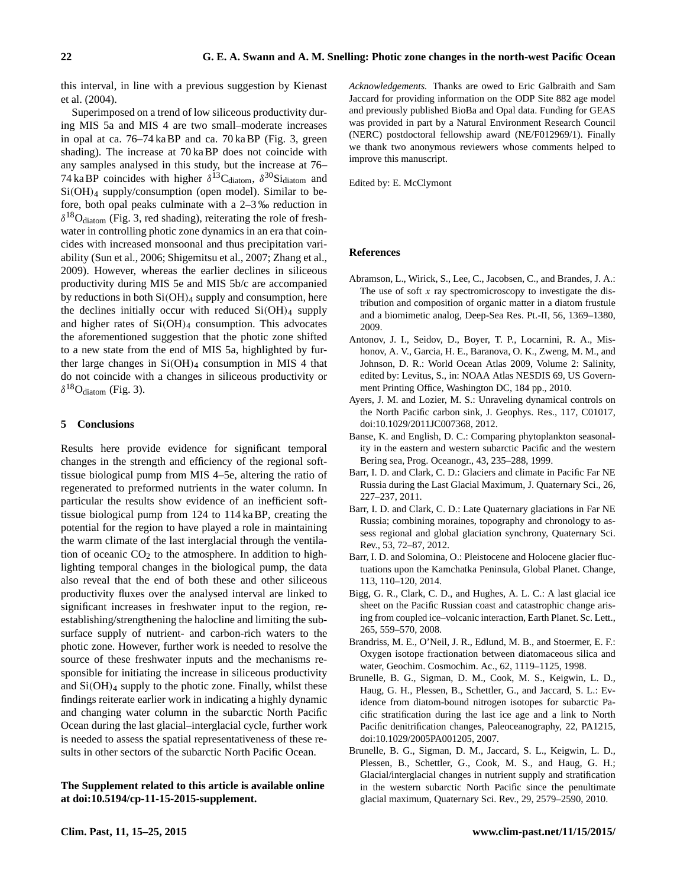this interval, in line with a previous suggestion by [Kienast](#page-8-22) [et al.](#page-8-22) [\(2004\)](#page-8-22).

Superimposed on a trend of low siliceous productivity during MIS 5a and MIS 4 are two small–moderate increases in opal at ca. 76–74 ka BP and ca. 70 ka BP (Fig. [3,](#page-3-0) green shading). The increase at 70 ka BP does not coincide with any samples analysed in this study, but the increase at 76– 74 ka BP coincides with higher  $\delta^{13}$ C<sub>diatom</sub>,  $\delta^{30}$ Si<sub>diatom</sub> and Si(OH)<sup>4</sup> supply/consumption (open model). Similar to before, both opal peaks culminate with a 2–3 ‰ reduction in  $\delta^{18}O_{diatom}$  (Fig. [3,](#page-3-0) red shading), reiterating the role of freshwater in controlling photic zone dynamics in an era that coincides with increased monsoonal and thus precipitation variability [\(Sun et al.,](#page-10-25) [2006;](#page-10-25) [Shigemitsu et al.,](#page-10-24) [2007;](#page-10-24) [Zhang et al.,](#page-10-26) [2009\)](#page-10-26). However, whereas the earlier declines in siliceous productivity during MIS 5e and MIS 5b/c are accompanied by reductions in both  $Si(OH)_4$  supply and consumption, here the declines initially occur with reduced  $Si(OH)_4$  supply and higher rates of  $Si(OH)_4$  consumption. This advocates the aforementioned suggestion that the photic zone shifted to a new state from the end of MIS 5a, highlighted by further large changes in  $Si(OH)_4$  consumption in MIS 4 that do not coincide with a changes in siliceous productivity or  $\delta^{18}$ O<sub>diatom</sub> (Fig. 3).

#### **5 Conclusions**

Results here provide evidence for significant temporal changes in the strength and efficiency of the regional softtissue biological pump from MIS 4–5e, altering the ratio of regenerated to preformed nutrients in the water column. In particular the results show evidence of an inefficient softtissue biological pump from 124 to 114 ka BP, creating the potential for the region to have played a role in maintaining the warm climate of the last interglacial through the ventilation of oceanic  $CO<sub>2</sub>$  to the atmosphere. In addition to highlighting temporal changes in the biological pump, the data also reveal that the end of both these and other siliceous productivity fluxes over the analysed interval are linked to significant increases in freshwater input to the region, reestablishing/strengthening the halocline and limiting the subsurface supply of nutrient- and carbon-rich waters to the photic zone. However, further work is needed to resolve the source of these freshwater inputs and the mechanisms responsible for initiating the increase in siliceous productivity and  $Si(OH)<sub>4</sub>$  supply to the photic zone. Finally, whilst these findings reiterate earlier work in indicating a highly dynamic and changing water column in the subarctic North Pacific Ocean during the last glacial–interglacial cycle, further work is needed to assess the spatial representativeness of these results in other sectors of the subarctic North Pacific Ocean.

## **The Supplement related to this article is available online at [doi:10.5194/cp-11-15-2015-supplement.](http://dx.doi.org/10.5194/cp-11-15-2015-supplement)**

*Acknowledgements.* Thanks are owed to Eric Galbraith and Sam Jaccard for providing information on the ODP Site 882 age model and previously published BioBa and Opal data. Funding for GEAS was provided in part by a Natural Environment Research Council (NERC) postdoctoral fellowship award (NE/F012969/1). Finally we thank two anonymous reviewers whose comments helped to improve this manuscript.

Edited by: E. McClymont

## **References**

- <span id="page-7-4"></span>Abramson, L., Wirick, S., Lee, C., Jacobsen, C., and Brandes, J. A.: The use of soft  $x$  ray spectromicroscopy to investigate the distribution and composition of organic matter in a diatom frustule and a biomimetic analog, Deep-Sea Res. Pt.-II, 56, 1369–1380, 2009.
- <span id="page-7-2"></span>Antonov, J. I., Seidov, D., Boyer, T. P., Locarnini, R. A., Mishonov, A. V., Garcia, H. E., Baranova, O. K., Zweng, M. M., and Johnson, D. R.: World Ocean Atlas 2009, Volume 2: Salinity, edited by: Levitus, S., in: NOAA Atlas NESDIS 69, US Government Printing Office, Washington DC, 184 pp., 2010.
- <span id="page-7-6"></span>Ayers, J. M. and Lozier, M. S.: Unraveling dynamical controls on the North Pacific carbon sink, J. Geophys. Res., 117, C01017, doi[:10.1029/2011JC007368,](http://dx.doi.org/10.1029/2011JC007368) 2012.
- <span id="page-7-5"></span>Banse, K. and English, D. C.: Comparing phytoplankton seasonality in the eastern and western subarctic Pacific and the western Bering sea, Prog. Oceanogr., 43, 235–288, 1999.
- <span id="page-7-7"></span>Barr, I. D. and Clark, C. D.: Glaciers and climate in Pacific Far NE Russia during the Last Glacial Maximum, J. Quaternary Sci., 26, 227–237, 2011.
- <span id="page-7-8"></span>Barr, I. D. and Clark, C. D.: Late Quaternary glaciations in Far NE Russia; combining moraines, topography and chronology to assess regional and global glaciation synchrony, Quaternary Sci. Rev., 53, 72–87, 2012.
- <span id="page-7-10"></span>Barr, I. D. and Solomina, O.: Pleistocene and Holocene glacier fluctuations upon the Kamchatka Peninsula, Global Planet. Change, 113, 110–120, 2014.
- <span id="page-7-9"></span>Bigg, G. R., Clark, C. D., and Hughes, A. L. C.: A last glacial ice sheet on the Pacific Russian coast and catastrophic change arising from coupled ice–volcanic interaction, Earth Planet. Sc. Lett., 265, 559–570, 2008.
- <span id="page-7-3"></span>Brandriss, M. E., O'Neil, J. R., Edlund, M. B., and Stoermer, E. F.: Oxygen isotope fractionation between diatomaceous silica and water, Geochim. Cosmochim. Ac., 62, 1119–1125, 1998.
- <span id="page-7-0"></span>Brunelle, B. G., Sigman, D. M., Cook, M. S., Keigwin, L. D., Haug, G. H., Plessen, B., Schettler, G., and Jaccard, S. L.: Evidence from diatom-bound nitrogen isotopes for subarctic Pacific stratification during the last ice age and a link to North Pacific denitrification changes, Paleoceanography, 22, PA1215, doi[:10.1029/2005PA001205,](http://dx.doi.org/10.1029/2005PA001205) 2007.
- <span id="page-7-1"></span>Brunelle, B. G., Sigman, D. M., Jaccard, S. L., Keigwin, L. D., Plessen, B., Schettler, G., Cook, M. S., and Haug, G. H.; Glacial/interglacial changes in nutrient supply and stratification in the western subarctic North Pacific since the penultimate glacial maximum, Quaternary Sci. Rev., 29, 2579–2590, 2010.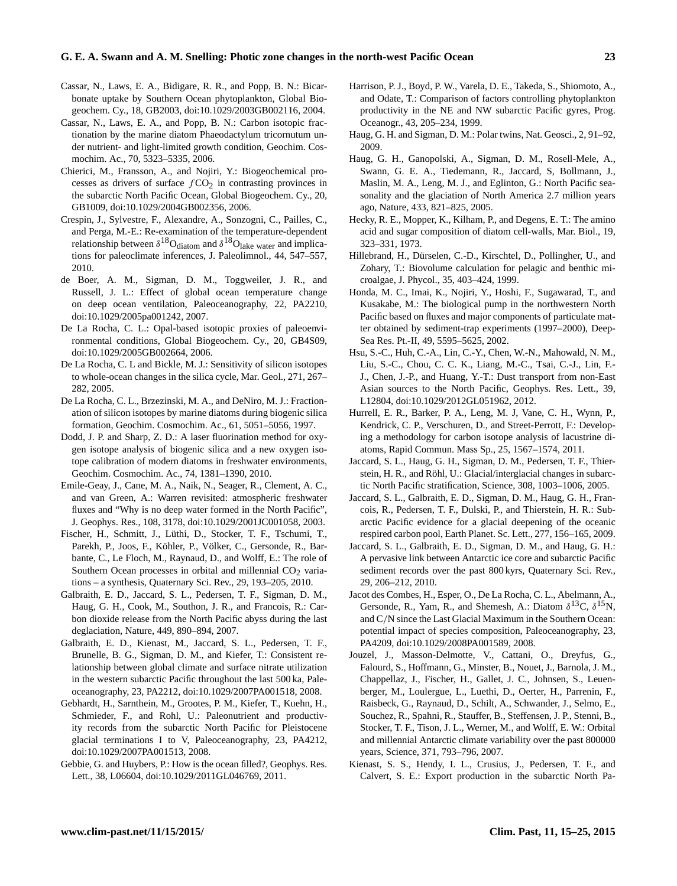#### **G. E. A. Swann and A. M. Snelling: Photic zone changes in the north-west Pacific Ocean 23**

- <span id="page-8-16"></span>Cassar, N., Laws, E. A., Bidigare, R. R., and Popp, B. N.: Bicarbonate uptake by Southern Ocean phytoplankton, Global Biogeochem. Cy., 18, GB2003, doi[:10.1029/2003GB002116,](http://dx.doi.org/10.1029/2003GB002116) 2004.
- <span id="page-8-18"></span>Cassar, N., Laws, E. A., and Popp, B. N.: Carbon isotopic fractionation by the marine diatom Phaeodactylum tricornutum under nutrient- and light-limited growth condition, Geochim. Cosmochim. Ac., 70, 5323–5335, 2006.
- <span id="page-8-26"></span>Chierici, M., Fransson, A., and Nojiri, Y.: Biogeochemical processes as drivers of surface  $fCO<sub>2</sub>$  in contrasting provinces in the subarctic North Pacific Ocean, Global Biogeochem. Cy., 20, GB1009, doi[:10.1029/2004GB002356,](http://dx.doi.org/10.1029/2004GB002356) 2006.
- <span id="page-8-12"></span>Crespin, J., Sylvestre, F., Alexandre, A., Sonzogni, C., Pailles, C., and Perga, M.-E.: Re-examination of the temperature-dependent relationship between  $\delta^{18}O_{\rm diatom}$  and  $\delta^{18}O_{\rm lake \ water}$  and implications for paleoclimate inferences, J. Paleolimnol., 44, 547–557, 2010.
- <span id="page-8-28"></span>de Boer, A. M., Sigman, D. M., Toggweiler, J. R., and Russell, J. L.: Effect of global ocean temperature change on deep ocean ventilation, Paleoceanography, 22, PA2210, doi[:10.1029/2005pa001242,](http://dx.doi.org/10.1029/2005pa001242) 2007.
- <span id="page-8-14"></span>De La Rocha, C. L.: Opal-based isotopic proxies of paleoenvironmental conditions, Global Biogeochem. Cy., 20, GB4S09, doi[:10.1029/2005GB002664,](http://dx.doi.org/10.1029/2005GB002664) 2006.
- <span id="page-8-23"></span>De La Rocha, C. L and Bickle, M. J.: Sensitivity of silicon isotopes to whole-ocean changes in the silica cycle, Mar. Geol., 271, 267– 282, 2005.
- <span id="page-8-13"></span>De La Rocha, C. L., Brzezinski, M. A., and DeNiro, M. J.: Fractionation of silicon isotopes by marine diatoms during biogenic silica formation, Geochim. Cosmochim. Ac., 61, 5051–5056, 1997.
- <span id="page-8-11"></span>Dodd, J. P. and Sharp, Z. D.: A laser fluorination method for oxygen isotope analysis of biogenic silica and a new oxygen isotope calibration of modern diatoms in freshwater environments, Geochim. Cosmochim. Ac., 74, 1381–1390, 2010.
- <span id="page-8-0"></span>Emile-Geay, J., Cane, M. A., Naik, N., Seager, R., Clement, A. C., and van Green, A.: Warren revisited: atmospheric freshwater fluxes and "Why is no deep water formed in the North Pacific", J. Geophys. Res., 108, 3178, doi[:10.1029/2001JC001058,](http://dx.doi.org/10.1029/2001JC001058) 2003.
- <span id="page-8-24"></span>Fischer, H., Schmitt, J., Lüthi, D., Stocker, T. F., Tschumi, T., Parekh, P., Joos, F., Köhler, P., Völker, C., Gersonde, R., Barbante, C., Le Floch, M., Raynaud, D., and Wolff, E.: The role of Southern Ocean processes in orbital and millennial  $CO<sub>2</sub>$  variations – a synthesis, Quaternary Sci. Rev., 29, 193–205, 2010.
- <span id="page-8-5"></span>Galbraith, E. D., Jaccard, S. L., Pedersen, T. F., Sigman, D. M., Haug, G. H., Cook, M., Southon, J. R., and Francois, R.: Carbon dioxide release from the North Pacific abyss during the last deglaciation, Nature, 449, 890–894, 2007.
- <span id="page-8-6"></span>Galbraith, E. D., Kienast, M., Jaccard, S. L., Pedersen, T. F., Brunelle, B. G., Sigman, D. M., and Kiefer, T.: Consistent relationship between global climate and surface nitrate utilization in the western subarctic Pacific throughout the last 500 ka, Paleoceanography, 23, PA2212, doi[:10.1029/2007PA001518,](http://dx.doi.org/10.1029/2007PA001518) 2008.
- <span id="page-8-7"></span>Gebhardt, H., Sarnthein, M., Grootes, P. M., Kiefer, T., Kuehn, H., Schmieder, F., and Rohl, U.: Paleonutrient and productivity records from the subarctic North Pacific for Pleistocene glacial terminations I to V, Paleoceanography, 23, PA4212, doi[:10.1029/2007PA001513,](http://dx.doi.org/10.1029/2007PA001513) 2008.
- <span id="page-8-27"></span>Gebbie, G. and Huybers, P.: How is the ocean filled?, Geophys. Res. Lett., 38, L06604, doi[:10.1029/2011GL046769,](http://dx.doi.org/10.1029/2011GL046769) 2011.
- <span id="page-8-20"></span>Harrison, P. J., Boyd, P. W., Varela, D. E., Takeda, S., Shiomoto, A., and Odate, T.: Comparison of factors controlling phytoplankton productivity in the NE and NW subarctic Pacific gyres, Prog. Oceanogr., 43, 205–234, 1999.
- <span id="page-8-8"></span>Haug, G. H. and Sigman, D. M.: Polar twins, Nat. Geosci., 2, 91–92, 2009.
- <span id="page-8-1"></span>Haug, G. H., Ganopolski, A., Sigman, D. M., Rosell-Mele, A., Swann, G. E. A., Tiedemann, R., Jaccard, S, Bollmann, J., Maslin, M. A., Leng, M. J., and Eglinton, G.: North Pacific seasonality and the glaciation of North America 2.7 million years ago, Nature, 433, 821–825, 2005.
- <span id="page-8-15"></span>Hecky, R. E., Mopper, K., Kilham, P., and Degens, E. T.: The amino acid and sugar composition of diatom cell-walls, Mar. Biol., 19, 323–331, 1973.
- <span id="page-8-9"></span>Hillebrand, H., Dürselen, C.-D., Kirschtel, D., Pollingher, U., and Zohary, T.: Biovolume calculation for pelagic and benthic microalgae, J. Phycol., 35, 403–424, 1999.
- <span id="page-8-25"></span>Honda, M. C., Imai, K., Nojiri, Y., Hoshi, F., Sugawarad, T., and Kusakabe, M.: The biological pump in the northwestern North Pacific based on fluxes and major components of particulate matter obtained by sediment-trap experiments (1997–2000), Deep-Sea Res. Pt.-II, 49, 5595–5625, 2002.
- <span id="page-8-21"></span>Hsu, S.-C., Huh, C.-A., Lin, C.-Y., Chen, W.-N., Mahowald, N. M., Liu, S.-C., Chou, C. C. K., Liang, M.-C., Tsai, C.-J., Lin, F.- J., Chen, J.-P., and Huang, Y.-T.: Dust transport from non-East Asian sources to the North Pacific, Geophys. Res. Lett., 39, L12804, doi[:10.1029/2012GL051962,](http://dx.doi.org/10.1029/2012GL051962) 2012.
- <span id="page-8-10"></span>Hurrell, E. R., Barker, P. A., Leng, M. J, Vane, C. H., Wynn, P., Kendrick, C. P., Verschuren, D., and Street-Perrott, F.: Developing a methodology for carbon isotope analysis of lacustrine diatoms, Rapid Commun. Mass Sp., 25, 1567–1574, 2011.
- <span id="page-8-2"></span>Jaccard, S. L., Haug, G. H., Sigman, D. M., Pedersen, T. F., Thierstein, H. R., and Röhl, U.: Glacial/interglacial changes in subarctic North Pacific stratification, Science, 308, 1003–1006, 2005.
- <span id="page-8-3"></span>Jaccard, S. L., Galbraith, E. D., Sigman, D. M., Haug, G. H., Francois, R., Pedersen, T. F., Dulski, P., and Thierstein, H. R.: Subarctic Pacific evidence for a glacial deepening of the oceanic respired carbon pool, Earth Planet. Sc. Lett., 277, 156–165, 2009.
- <span id="page-8-4"></span>Jaccard, S. L., Galbraith, E. D., Sigman, D. M., and Haug, G. H.: A pervasive link between Antarctic ice core and subarctic Pacific sediment records over the past 800 kyrs, Quaternary Sci. Rev., 29, 206–212, 2010.
- <span id="page-8-19"></span>Jacot des Combes, H., Esper, O., De La Rocha, C. L., Abelmann, A., Gersonde, R., Yam, R., and Shemesh, A.: Diatom  $\delta^{13}C$ ,  $\delta^{15}N$ , and C/N since the Last Glacial Maximum in the Southern Ocean: potential impact of species composition, Paleoceanography, 23, PA4209, doi[:10.1029/2008PA001589,](http://dx.doi.org/10.1029/2008PA001589) 2008.
- <span id="page-8-17"></span>Jouzel, J., Masson-Delmotte, V., Cattani, O., Dreyfus, G., Falourd, S., Hoffmann, G., Minster, B., Nouet, J., Barnola, J. M., Chappellaz, J., Fischer, H., Gallet, J. C., Johnsen, S., Leuenberger, M., Loulergue, L., Luethi, D., Oerter, H., Parrenin, F., Raisbeck, G., Raynaud, D., Schilt, A., Schwander, J., Selmo, E., Souchez, R., Spahni, R., Stauffer, B., Steffensen, J. P., Stenni, B., Stocker, T. F., Tison, J. L., Werner, M., and Wolff, E. W.: Orbital and millennial Antarctic climate variability over the past 800000 years, Science, 371, 793–796, 2007.
- <span id="page-8-22"></span>Kienast, S. S., Hendy, I. L., Crusius, J., Pedersen, T. F., and Calvert, S. E.: Export production in the subarctic North Pa-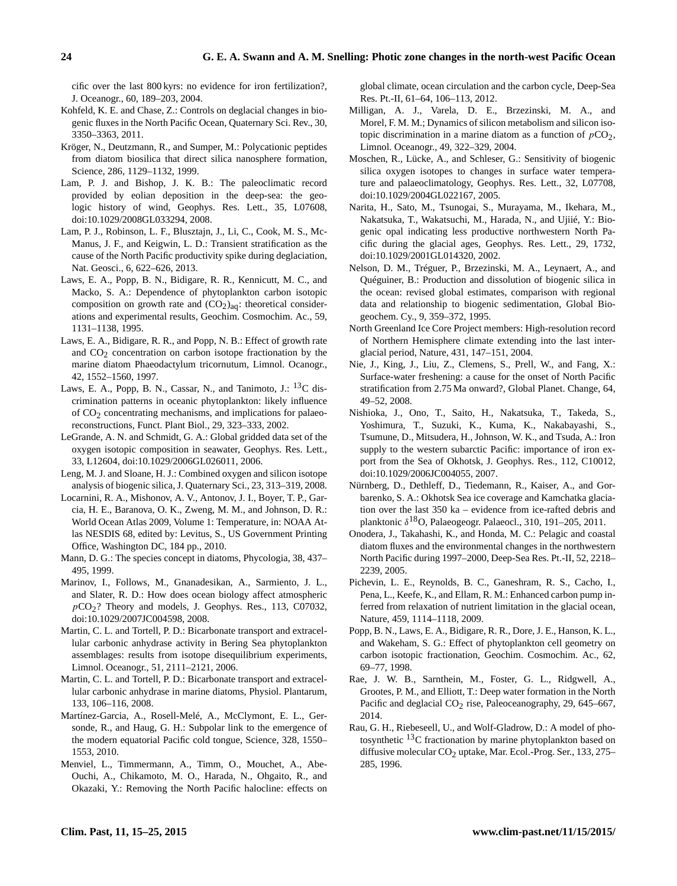cific over the last 800 kyrs: no evidence for iron fertilization?, J. Oceanogr., 60, 189–203, 2004.

- <span id="page-9-3"></span>Kohfeld, K. E. and Chase, Z.: Controls on deglacial changes in biogenic fluxes in the North Pacific Ocean, Quaternary Sci. Rev., 30, 3350–3363, 2011.
- <span id="page-9-10"></span>Kröger, N., Deutzmann, R., and Sumper, M.: Polycationic peptides from diatom biosilica that direct silica nanosphere formation, Science, 286, 1129–1132, 1999.
- <span id="page-9-19"></span>Lam, P. J. and Bishop, J. K. B.: The paleoclimatic record provided by eolian deposition in the deep-sea: the geologic history of wind, Geophys. Res. Lett., 35, L07608, doi[:10.1029/2008GL033294,](http://dx.doi.org/10.1029/2008GL033294) 2008.
- <span id="page-9-21"></span>Lam, P. J., Robinson, L. F., Blusztajn, J., Li, C., Cook, M. S., Mc-Manus, J. F., and Keigwin, L. D.: Transient stratification as the cause of the North Pacific productivity spike during deglaciation, Nat. Geosci., 6, 622–626, 2013.
- <span id="page-9-13"></span>Laws, E. A., Popp, B. N., Bidigare, R. R., Kennicutt, M. C., and Macko, S. A.: Dependence of phytoplankton carbon isotopic composition on growth rate and  $(CO<sub>2</sub>)<sub>aq</sub>$ : theoretical considerations and experimental results, Geochim. Cosmochim. Ac., 59, 1131–1138, 1995.
- <span id="page-9-15"></span>Laws, E. A., Bidigare, R. R., and Popp, N. B.: Effect of growth rate and  $CO<sub>2</sub>$  concentration on carbon isotope fractionation by the marine diatom Phaeodactylum tricornutum, Limnol. Ocanogr., 42, 1552–1560, 1997.
- <span id="page-9-16"></span>Laws, E. A., Popp, B. N., Cassar, N., and Tanimoto, J.: <sup>13</sup>C discrimination patterns in oceanic phytoplankton: likely influence of  $CO<sub>2</sub>$  concentrating mechanisms, and implications for palaeoreconstructions, Funct. Plant Biol., 29, 323–333, 2002.
- <span id="page-9-27"></span>LeGrande, A. N. and Schmidt, G. A.: Global gridded data set of the oxygen isotopic composition in seawater, Geophys. Res. Lett., 33, L12604, doi[:10.1029/2006GL026011,](http://dx.doi.org/10.1029/2006GL026011) 2006.
- <span id="page-9-7"></span>Leng, M. J. and Sloane, H. J.: Combined oxygen and silicon isotope analysis of biogenic silica, J. Quaternary Sci., 23, 313–319, 2008.
- <span id="page-9-0"></span>Locarnini, R. A., Mishonov, A. V., Antonov, J. I., Boyer, T. P., Garcia, H. E., Baranova, O. K., Zweng, M. M., and Johnson, D. R.: World Ocean Atlas 2009, Volume 1: Temperature, in: NOAA Atlas NESDIS 68, edited by: Levitus, S., US Government Printing Office, Washington DC, 184 pp., 2010.
- <span id="page-9-5"></span>Mann, D. G.: The species concept in diatoms, Phycologia, 38, 437– 495, 1999.
- <span id="page-9-24"></span>Marinov, I., Follows, M., Gnanadesikan, A., Sarmiento, J. L., and Slater, R. D.: How does ocean biology affect atmospheric  $pCO<sub>2</sub>$ ? Theory and models, J. Geophys. Res., 113, C07032, doi[:10.1029/2007JC004598,](http://dx.doi.org/10.1029/2007JC004598) 2008.
- <span id="page-9-11"></span>Martin, C. L. and Tortell, P. D.: Bicarbonate transport and extracellular carbonic anhydrase activity in Bering Sea phytoplankton assemblages: results from isotope disequilibrium experiments, Limnol. Oceanogr., 51, 2111–2121, 2006.
- <span id="page-9-12"></span>Martin, C. L. and Tortell, P. D.: Bicarbonate transport and extracellular carbonic anhydrase in marine diatoms, Physiol. Plantarum, 133, 106–116, 2008.
- <span id="page-9-25"></span>Martínez-Garcia, A., Rosell-Melé, A., McClymont, E. L., Gersonde, R., and Haug, G. H.: Subpolar link to the emergence of the modern equatorial Pacific cold tongue, Science, 328, 1550– 1553, 2010.
- <span id="page-9-1"></span>Menviel, L., Timmermann, A., Timm, O., Mouchet, A., Abe-Ouchi, A., Chikamoto, M. O., Harada, N., Ohgaito, R., and Okazaki, Y.: Removing the North Pacific halocline: effects on

global climate, ocean circulation and the carbon cycle, Deep-Sea Res. Pt.-II, 61–64, 106–113, 2012.

- <span id="page-9-9"></span>Milligan, A. J., Varela, D. E., Brzezinski, M. A., and Morel, F. M. M.; Dynamics of silicon metabolism and silicon isotopic discrimination in a marine diatom as a function of  $pCO<sub>2</sub>$ , Limnol. Oceanogr., 49, 322–329, 2004.
- <span id="page-9-8"></span>Moschen, R., Lücke, A., and Schleser, G.: Sensitivity of biogenic silica oxygen isotopes to changes in surface water temperature and palaeoclimatology, Geophys. Res. Lett., 32, L07708, doi[:10.1029/2004GL022167,](http://dx.doi.org/10.1029/2004GL022167) 2005.
- <span id="page-9-26"></span>Narita, H., Sato, M., Tsunogai, S., Murayama, M., Ikehara, M., Nakatsuka, T., Wakatsuchi, M., Harada, N., and Ujiié, Y.: Biogenic opal indicating less productive northwestern North Pacific during the glacial ages, Geophys. Res. Lett., 29, 1732, doi[:10.1029/2001GL014320,](http://dx.doi.org/10.1029/2001GL014320) 2002.
- <span id="page-9-4"></span>Nelson, D. M., Tréguer, P., Brzezinski, M. A., Leynaert, A., and Quéguiner, B.: Production and dissolution of biogenic silica in the ocean: revised global estimates, comparison with regional data and relationship to biogenic sedimentation, Global Biogeochem. Cy., 9, 359–372, 1995.
- <span id="page-9-17"></span>North Greenland Ice Core Project members: High-resolution record of Northern Hemisphere climate extending into the last interglacial period, Nature, 431, 147–151, 2004.
- <span id="page-9-2"></span>Nie, J., King, J., Liu, Z., Clemens, S., Prell, W., and Fang, X.: Surface-water freshening: a cause for the onset of North Pacific stratification from 2.75 Ma onward?, Global Planet. Change, 64, 49–52, 2008.
- <span id="page-9-20"></span>Nishioka, J., Ono, T., Saito, H., Nakatsuka, T., Takeda, S., Yoshimura, T., Suzuki, K., Kuma, K., Nakabayashi, S., Tsumune, D., Mitsudera, H., Johnson, W. K., and Tsuda, A.: Iron supply to the western subarctic Pacific: importance of iron export from the Sea of Okhotsk, J. Geophys. Res., 112, C10012, doi[:10.1029/2006JC004055,](http://dx.doi.org/10.1029/2006JC004055) 2007.
- <span id="page-9-28"></span>Nürnberg, D., Dethleff, D., Tiedemann, R., Kaiser, A., and Gorbarenko, S. A.: Okhotsk Sea ice coverage and Kamchatka glaciation over the last 350 ka – evidence from ice-rafted debris and planktonic  $\delta^{18}O$ , Palaeogeogr. Palaeocl., 310, 191-205, 2011.
- <span id="page-9-6"></span>Onodera, J., Takahashi, K., and Honda, M. C.: Pelagic and coastal diatom fluxes and the environmental changes in the northwestern North Pacific during 1997–2000, Deep-Sea Res. Pt.-II, 52, 2218– 2239, 2005.
- <span id="page-9-22"></span>Pichevin, L. E., Reynolds, B. C., Ganeshram, R. S., Cacho, I., Pena, L., Keefe, K., and Ellam, R. M.: Enhanced carbon pump inferred from relaxation of nutrient limitation in the glacial ocean, Nature, 459, 1114–1118, 2009.
- <span id="page-9-18"></span>Popp, B. N., Laws, E. A., Bidigare, R. R., Dore, J. E., Hanson, K. L., and Wakeham, S. G.: Effect of phytoplankton cell geometry on carbon isotopic fractionation, Geochim. Cosmochim. Ac., 62, 69–77, 1998.
- <span id="page-9-23"></span>Rae, J. W. B., Sarnthein, M., Foster, G. L., Ridgwell, A., Grootes, P. M., and Elliott, T.: Deep water formation in the North Pacific and deglacial  $CO<sub>2</sub>$  rise, Paleoceanography, 29, 645–667, 2014.
- <span id="page-9-14"></span>Rau, G. H., Riebeseell, U., and Wolf-Gladrow, D.: A model of photosynthetic <sup>13</sup>C fractionation by marine phytoplankton based on diffusive molecular CO<sub>2</sub> uptake, Mar. Ecol.-Prog. Ser., 133, 275– 285, 1996.